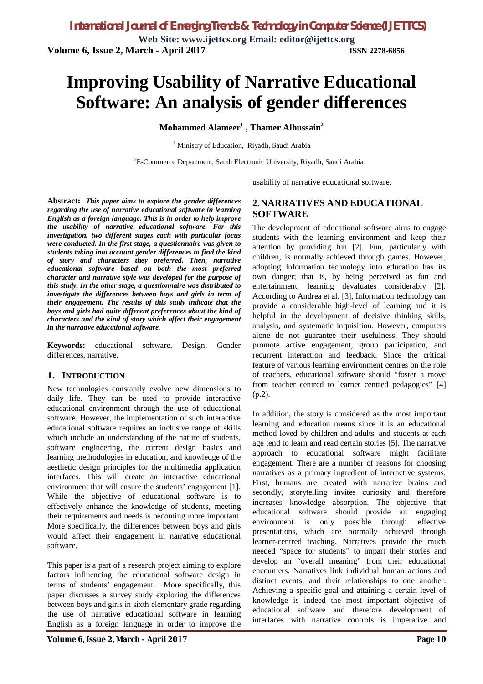# **Improving Usability of Narrative Educational Software: An analysis of gender differences**

**Mohammed Alameer<sup>1</sup> , Thamer Alhussain<sup>2</sup>**

<sup>1</sup> Ministry of Education, Riyadh, Saudi Arabia

<sup>2</sup>E-Commerce Department, Saudi Electronic University, Riyadh, Saudi Arabia

usability of narrative educational software.

**Abstract:** *This paper aims to explore the gender differences regarding the use of narrative educational software in learning English as a foreign language. This is in order to help improve the usability of narrative educational software. For this investigation, two different stages each with particular focus were conducted. In the first stage, a questionnaire was given to students taking into account gender differences to find the kind of story and characters they preferred. Then, narrative educational software based on both the most preferred character and narrative style was developed for the purpose of this study. In the other stage, a questionnaire was distributed to investigate the differences between boys and girls in term of their engagement. The results of this study indicate that the boys and girls had quite different preferences about the kind of characters and the kind of story which affect their engagement in the narrative educational software.*

**Keywords:** educational software, Design, Gender differences, narrative.

## **1. INTRODUCTION**

New technologies constantly evolve new dimensions to daily life. They can be used to provide interactive educational environment through the use of educational software. However, the implementation of such interactive educational software requires an inclusive range of skills which include an understanding of the nature of students, software engineering, the current design basics and learning methodologies in education, and knowledge of the aesthetic design principles for the multimedia application interfaces. This will create an interactive educational environment that will ensure the students' engagement [1]. While the objective of educational software is to effectively enhance the knowledge of students, meeting their requirements and needs is becoming more important. More specifically, the differences between boys and girls would affect their engagement in narrative educational software.

This paper is a part of a research project aiming to explore factors influencing the educational software design in terms of students' engagement. More specifically, this paper discusses a survey study exploring the differences between boys and girls in sixth elementary grade regarding the use of narrative educational software in learning English as a foreign language in order to improve the

# **2.NARRATIVES AND EDUCATIONAL SOFTWARE**

The development of educational software aims to engage students with the learning environment and keep their attention by providing fun [2]. Fun, particularly with children, is normally achieved through games. However, adopting Information technology into education has its own danger; that is, by being perceived as fun and entertainment, learning devaluates considerably [2]. According to Andrea et al. [3], Information technology can provide a considerable high-level of learning and it is helpful in the development of decisive thinking skills, analysis, and systematic inquisition. However, computers alone do not guarantee their usefulness. They should promote active engagement, group participation, and recurrent interaction and feedback. Since the critical feature of various learning environment centres on the role of teachers, educational software should "foster a move from teacher centred to learner centred pedagogies" [4] (p.2).

In addition, the story is considered as the most important learning and education means since it is an educational method loved by children and adults, and students at each age tend to learn and read certain stories [5]. The narrative approach to educational software might facilitate engagement. There are a number of reasons for choosing narratives as a primary ingredient of interactive systems. First, humans are created with narrative brains and secondly, storytelling invites curiosity and therefore increases knowledge absorption. The objective that educational software should provide an engaging environment is only possible through effective presentations, which are normally achieved through learner-centred teaching. Narratives provide the much needed "space for students" to impart their stories and develop an "overall meaning" from their educational encounters. Narratives link individual human actions and distinct events, and their relationships to one another. Achieving a specific goal and attaining a certain level of knowledge is indeed the most important objective of educational software and therefore development of interfaces with narrative controls is imperative and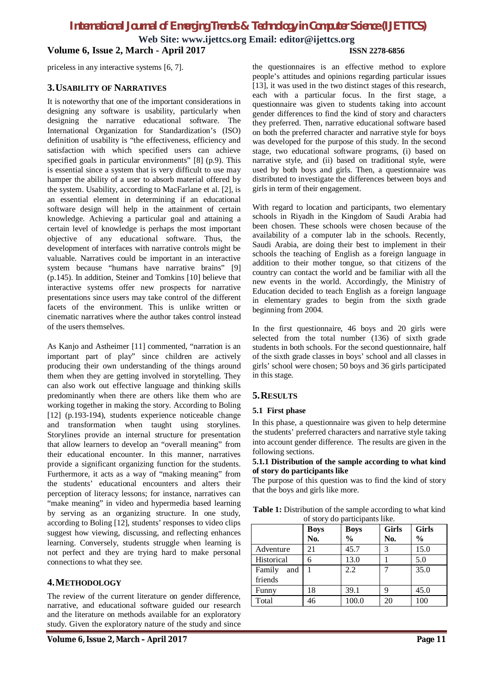**Web Site: [www.ijettcs.org](http://www.ijettcs.org) Email: [editor@ijettcs.org](mailto:editor@ijettcs.org) Volume 6, Issue 2, March - April 2017 ISSN 2278-6856**

priceless in any interactive systems [6, 7].

# **3.USABILITY OF NARRATIVES**

It is noteworthy that one of the important considerations in designing any software is usability, particularly when designing the narrative educational software. The International Organization for Standardization's (ISO) definition of usability is "the effectiveness, efficiency and satisfaction with which specified users can achieve specified goals in particular environments" [8] (p.9). This is essential since a system that is very difficult to use may hamper the ability of a user to absorb material offered by the system. Usability, according to MacFarlane et al. [2], is an essential element in determining if an educational software design will help in the attainment of certain knowledge. Achieving a particular goal and attaining a certain level of knowledge is perhaps the most important objective of any educational software. Thus, the development of interfaces with narrative controls might be valuable. Narratives could be important in an interactive system because "humans have narrative brains" [9] (p.145). In addition, Steiner and Tomkins [10] believe that interactive systems offer new prospects for narrative presentations since users may take control of the different facets of the environment. This is unlike written or cinematic narratives where the author takes control instead of the users themselves.

As Kanjo and Astheimer [11] commented, "narration is an important part of play" since children are actively producing their own understanding of the things around them when they are getting involved in storytelling. They can also work out effective language and thinking skills predominantly when there are others like them who are working together in making the story. According to Boling [12] (p.193-194), students experience noticeable change and transformation when taught using storylines. Storylines provide an internal structure for presentation that allow learners to develop an "overall meaning" from their educational encounter. In this manner, narratives provide a significant organizing function for the students. Furthermore, it acts as a way of "making meaning" from the students' educational encounters and alters their perception of literacy lessons; for instance, narratives can "make meaning" in video and hypermedia based learning by serving as an organizing structure. In one study, according to Boling [12], students' responses to video clips suggest how viewing, discussing, and reflecting enhances learning. Conversely, students struggle when learning is not perfect and they are trying hard to make personal connections to what they see.

# **4.METHODOLOGY**

The review of the current literature on gender difference, narrative, and educational software guided our research and the literature on methods available for an exploratory study. Given the exploratory nature of the study and since

the questionnaires is an effective method to explore people's attitudes and opinions regarding particular issues [13], it was used in the two distinct stages of this research, each with a particular focus. In the first stage, a questionnaire was given to students taking into account gender differences to find the kind of story and characters they preferred. Then, narrative educational software based on both the preferred character and narrative style for boys was developed for the purpose of this study. In the second stage, two educational software programs, (i) based on narrative style, and (ii) based on traditional style, were used by both boys and girls. Then, a questionnaire was distributed to investigate the differences between boys and girls in term of their engagement.

With regard to location and participants, two elementary schools in Riyadh in the Kingdom of Saudi Arabia had been chosen. These schools were chosen because of the availability of a computer lab in the schools. Recently, Saudi Arabia, are doing their best to implement in their schools the teaching of English as a foreign language in addition to their mother tongue, so that citizens of the country can contact the world and be familiar with all the new events in the world. Accordingly, the Ministry of Education decided to teach English as a foreign language in elementary grades to begin from the sixth grade beginning from 2004.

In the first questionnaire, 46 boys and 20 girls were selected from the total number (136) of sixth grade students in both schools. For the second questionnaire, half of the sixth grade classes in boys' school and all classes in girls' school were chosen; 50 boys and 36 girls participated in this stage.

# **5.RESULTS**

## **5.1 First phase**

In this phase, a questionnaire was given to help determine the students' preferred characters and narrative style taking into account gender difference. The results are given in the following sections.

#### **5.1.1 Distribution of the sample according to what kind of story do participants like**

The purpose of this question was to find the kind of story that the boys and girls like more.

**Table 1:** Distribution of the sample according to what kind of story do participants like.

|               | <b>Boys</b> | <b>Boys</b>   | <b>Girls</b> | <b>Girls</b>  |
|---------------|-------------|---------------|--------------|---------------|
|               | No.         | $\frac{0}{0}$ | No.          | $\frac{0}{0}$ |
| Adventure     | 21          | 45.7          | 3            | 15.0          |
| Historical    | 6           | 13.0          |              | 5.0           |
| Family<br>and |             | 2.2           |              | 35.0          |
| friends       |             |               |              |               |
| Funny         | 18          | 39.1          | 9            | 45.0          |
| Total         | 46          | 100.0         | 20           | 100           |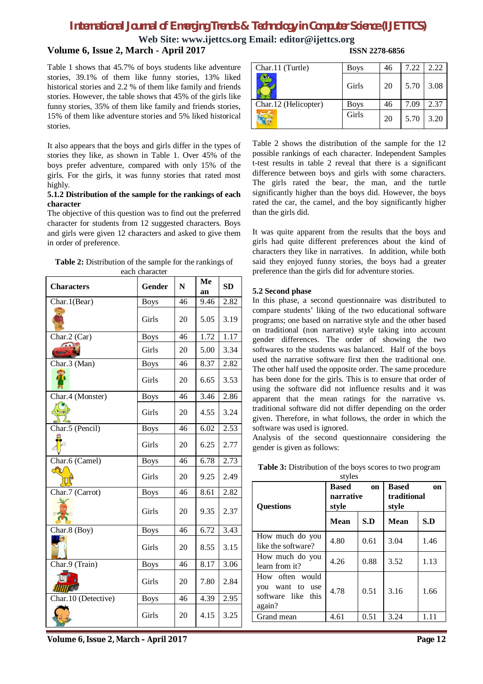**Web Site: [www.ijettcs.org](http://www.ijettcs.org) Email: [editor@ijettcs.org](mailto:editor@ijettcs.org)**

# **Volume 6, Issue 2, March - April 2017**

Table 1 shows that 45.7% of boys students like adventure stories, 39.1% of them like funny stories, 13% liked historical stories and 2.2 % of them like family and friends stories. However, the table shows that 45% of the girls like funny stories, 35% of them like family and friends stories, 15% of them like adventure stories and 5% liked historical stories.

It also appears that the boys and girls differ in the types of stories they like, as shown in Table 1. Over 45% of the boys prefer adventure, compared with only 15% of the girls. For the girls, it was funny stories that rated most highly.

#### **5.1.2 Distribution of the sample for the rankings of each character**

The objective of this question was to find out the preferred character for students from 12 suggested characters. Boys and girls were given 12 characters and asked to give them in order of preference.

| <b>Table 2:</b> Distribution of the sample for the rankings of |
|----------------------------------------------------------------|
| each character                                                 |

| <b>Characters</b>   | Gender      | $\mathbf N$ | Me<br>an | <b>SD</b> |
|---------------------|-------------|-------------|----------|-----------|
| Char.1(Bear)        | <b>Boys</b> | 46          | 9.46     | 2.82      |
|                     | Girls       | 20          | 5.05     | 3.19      |
| Char.2 (Car)        | <b>Boys</b> | 46          | 1.72     | 1.17      |
|                     | Girls       | 20          | 5.00     | 3.34      |
| Char.3 (Man)        | <b>Boys</b> | 46          | 8.37     | 2.82      |
|                     | Girls       | 20          | 6.65     | 3.53      |
| Char.4 (Monster)    | <b>Boys</b> | 46          | 3.46     | 2.86      |
|                     | Girls       | 20          | 4.55     | 3.24      |
| Char.5 (Pencil)     | <b>Boys</b> | 46          | 6.02     | 2.53      |
|                     | Girls       | 20          | 6.25     | 2.77      |
| Char.6 (Camel)      | <b>Boys</b> | 46          | 6.78     | 2.73      |
| M                   | Girls       | 20          | 9.25     | 2.49      |
| Char.7 (Carrot)     | <b>Boys</b> | 46          | 8.61     | 2.82      |
|                     | Girls       | 20          | 9.35     | 2.37      |
| Char.8 (Boy)        | <b>Boys</b> | 46          | 6.72     | 3.43      |
|                     | Girls       | 20          | 8.55     | 3.15      |
| Char.9 (Train)      | <b>Boys</b> | 46          | 8.17     | 3.06      |
|                     | Girls       | 20          | 7.80     | 2.84      |
| Char.10 (Detective) | <b>Boys</b> | 46          | 4.39     | 2.95      |
|                     | Girls       | 20          | 4.15     | 3.25      |

| ISSN 2278-6856 |  |
|----------------|--|

| Char.11 (Turtle)     | <b>Boys</b> | 46 | 7.22 | 2.22 |
|----------------------|-------------|----|------|------|
|                      | Girls       | 20 | 5.70 | 3.08 |
| Char.12 (Helicopter) | <b>Boys</b> | 46 | 7.09 | 2.37 |
|                      | Girls       | 20 | 5.70 | 3.20 |

Table 2 shows the distribution of the sample for the 12 possible rankings of each character. Independent Samples t-test results in table 2 reveal that there is a significant difference between boys and girls with some characters. The girls rated the bear, the man, and the turtle significantly higher than the boys did. However, the boys rated the car, the camel, and the boy significantly higher than the girls did.

It was quite apparent from the results that the boys and girls had quite different preferences about the kind of characters they like in narratives. In addition, while both said they enjoyed funny stories, the boys had a greater preference than the girls did for adventure stories.

## **5.2 Second phase**

In this phase, a second questionnaire was distributed to compare students' liking of the two educational software programs; one based on narrative style and the other based on traditional (non narrative) style taking into account gender differences. The order of showing the two softwares to the students was balanced. Half of the boys used the narrative software first then the traditional one. The other half used the opposite order. The same procedure has been done for the girls. This is to ensure that order of using the software did not influence results and it was apparent that the mean ratings for the narrative vs. traditional software did not differ depending on the order given. Therefore, in what follows, the order in which the software was used is ignored.

Analysis of the second questionnaire considering the gender is given as follows:

| <b>Ouestions</b>                                                      | <b>Based</b><br>narrative<br>style | on   | <b>Based</b><br>on<br>traditional<br>style |      |  |
|-----------------------------------------------------------------------|------------------------------------|------|--------------------------------------------|------|--|
|                                                                       | Mean                               | S.D  | Mean                                       | S.D  |  |
| How much do you<br>like the software?                                 | 4.80                               | 0.61 | 3.04                                       | 1.46 |  |
| How much do you<br>learn from it?                                     | 4.26                               | 0.88 | 3.52                                       | 1.13 |  |
| How often would<br>want to use<br>vou<br>software like this<br>again? | 4.78                               | 0.51 | 3.16                                       | 1.66 |  |
| Grand mean                                                            | 4.61                               | 0.51 | 3.24                                       | 1.11 |  |

**Table 3:** Distribution of the boys scores to two program styles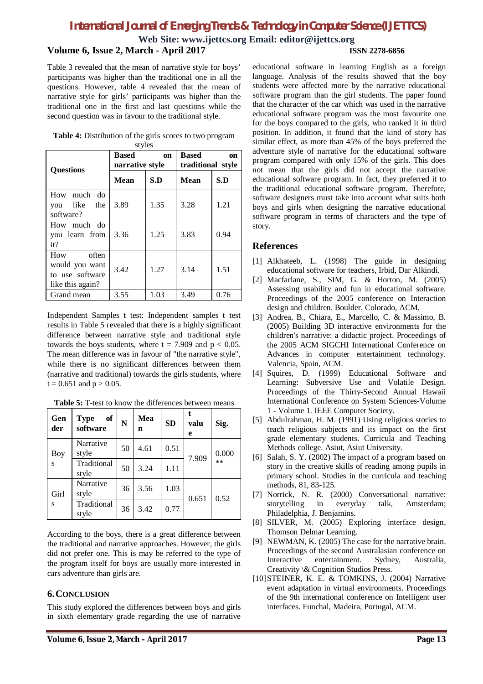**Web Site: [www.ijettcs.org](http://www.ijettcs.org) Email: [editor@ijettcs.org](mailto:editor@ijettcs.org)**

# **Volume 6, Issue 2, March - April 2017 ISSN 2278-6856**

Table 3 revealed that the mean of narrative style for boys' participants was higher than the traditional one in all the questions. However, table 4 revealed that the mean of narrative style for girls' participants was higher than the traditional one in the first and last questions while the second question was in favour to the traditional style.

| <b>Questions</b>                                                      | <b>Based</b><br>on<br>narrative style |      | <b>Based</b><br>on<br>traditional style |      |  |
|-----------------------------------------------------------------------|---------------------------------------|------|-----------------------------------------|------|--|
|                                                                       | Mean                                  | S.D  | Mean                                    | S.D  |  |
| How much do<br>like<br>the<br>you<br>software?                        | 3.89                                  | 1.35 | 3.28                                    | 1.21 |  |
| How much do<br>you learn from<br>it?                                  | 3.36                                  | 1.25 | 3.83                                    | 0.94 |  |
| often<br>How<br>would you want<br>to use software<br>like this again? | 3.42                                  | 1.27 | 3.14                                    | 1.51 |  |
| Grand mean                                                            | 3.55                                  | 1.03 | 3.49                                    | 0.76 |  |

**Table 4:** Distribution of the girls scores to two program styles

Independent Samples t test: Independent samples t test results in Table 5 revealed that there is a highly significant difference between narrative style and traditional style towards the boys students, where  $t = 7.909$  and  $p < 0.05$ . The mean difference was in favour of "the narrative style", while there is no significant differences between them (narrative and traditional) towards the girls students, where  $t = 0.651$  and  $p > 0.05$ .

| Gen<br>der | of<br><b>Type</b><br>software | $\overline{\mathbf{N}}$ | Mea<br>n | <b>SD</b> | t<br>valu<br>e | Sig.  |
|------------|-------------------------------|-------------------------|----------|-----------|----------------|-------|
| Boy        | Narrative<br>style            | 50                      | 4.61     | 0.51      | 7.909          | 0.000 |
| S          | Traditional<br>style          | 50                      | 3.24     | 1.11      |                | $**$  |
| Girl<br>S  | Narrative<br>style            | 36                      | 3.56     | 1.03      | 0.651          | 0.52  |
|            | Traditional<br>style          | 36                      | 3.42     | 0.77      |                |       |

**Table 5:** T-test to know the differences between means

According to the boys, there is a great difference between the traditional and narrative approaches. However, the girls did not prefer one. This is may be referred to the type of the program itself for boys are usually more interested in cars adventure than girls are.

## **6.CONCLUSION**

This study explored the differences between boys and girls in sixth elementary grade regarding the use of narrative

educational software in learning English as a foreign language. Analysis of the results showed that the boy students were affected more by the narrative educational software program than the girl students. The paper found that the character of the car which was used in the narrative educational software program was the most favourite one for the boys compared to the girls, who ranked it in third position. In addition, it found that the kind of story has similar effect, as more than 45% of the boys preferred the adventure style of narrative for the educational software program compared with only 15% of the girls. This does not mean that the girls did not accept the narrative educational software program. In fact, they preferred it to the traditional educational software program. Therefore, software designers must take into account what suits both boys and girls when designing the narrative educational software program in terms of characters and the type of story.

## **References**

- [1] Alkhateeb, L. (1998) The guide in designing educational software for teachers, Irbid, Dar Alkindi.
- [2] Macfarlane, S., SIM, G. & Horton, M. (2005) Assessing usability and fun in educational software. Proceedings of the 2005 conference on Interaction design and children. Boulder, Colorado, ACM.
- [3] Andrea, B., Chiara, E., Marcello, C. & Massimo, B. (2005) Building 3D interactive environments for the children's narrative: a didactic project. Proceedings of the 2005 ACM SIGCHI International Conference on Advances in computer entertainment technology. Valencia, Spain, ACM.
- [4] Squires, D. (1999) Educational Software and Learning: Subversive Use and Volatile Design. Proceedings of the Thirty-Second Annual Hawaii International Conference on System Sciences-Volume 1 - Volume 1. IEEE Computer Society.
- [5] Abdulrahman, H. M. (1991) Using religious stories to teach religious subjects and its impact on the first grade elementary students. Curricula and Teaching Methods college. Asiut, Asiut University.
- [6] Salah, S. Y. (2002) The impact of a program based on story in the creative skills of reading among pupils in primary school. Studies in the curricula and teaching methods, 81, 83-125.
- [7] Norrick, N. R. (2000) Conversational narrative: storytelling in everyday talk, Amsterdam; Philadelphia, J. Benjamins.
- [8] SILVER, M. (2005) Exploring interface design, Thomson Delmar Learning.
- [9] NEWMAN, K. (2005) The case for the narrative brain. Proceedings of the second Australasian conference on Interactive entertainment. Sydney, Australia, Creativity \& Cognition Studios Press.
- [10]STEINER, K. E. & TOMKINS, J. (2004) Narrative event adaptation in virtual environments. Proceedings of the 9th international conference on Intelligent user interfaces. Funchal, Madeira, Portugal, ACM.